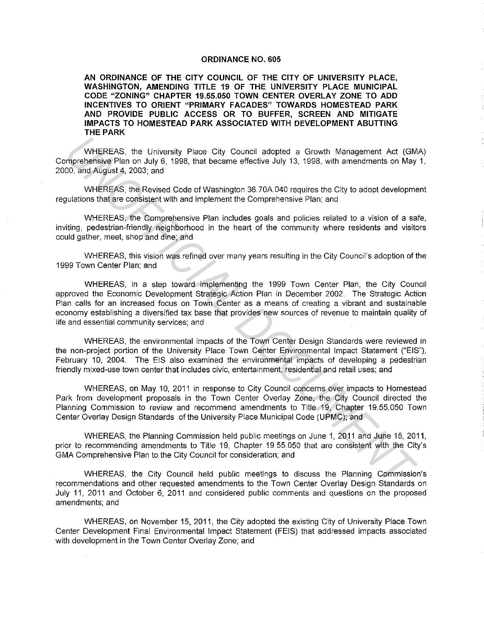#### **ORDINANCE NO. 605**

**AN ORDINANCE OF THE CITY COUNCIL OF THE CITY OF UNIVERSITY PLACE, WASHINGTON, AMENDING TITLE 19 OF THE UNIVERSITY PLACE MUNICIPAL CODE "ZONING" CHAPTER 19.55.050 TOWN CENTER OVERLAY ZONE TO ADD INCENTIVES TO ORIENT "PRIMARY FACADES" TOWARDS HOMESTEAD PARK AND PROVIDE PUBLIC ACCESS OR TO BUFFER, SCREEN AND MITIGATE IMPACTS TO HOMESTEAD PARK ASSOCIATED WITH DEVELOPMENT ABUTTING THE PARK** 

WHEREAS, the University Place City Council adopted a Growth Management Act (GMA) Comprehensive Plan on July 6, 1998, that became effective July 13, 1998, with amendments on May 1, 2000, and August 4, 2003; and

WHEREAS, the Revised Code of Washington 36.70A040 requires the City to adopt development regulations that are consistent with and implement the Comprehensive Plan; and

WHEREAS, the Comprehensive Plan includes goals and policies related to a vision of a safe, inviting, pedestrian-friendly neighborhood in the heart of the community where residents and visitors could gather, meet, shop and dine; and

WHEREAS, this vision was refined over many years resulting in the City Council's adoption of the 1999 Town Center Plan; and

WHEREAS, in a step toward implementing the 1999 Town Center Plan, the City Council approved the Economic Development Strategic Action Plan in December 2002. The Strategic Action Plan calls for an increased focus on Town Center as a means of creating a vibrant and sustainable economy establishing a diversified tax base that provides new sources of revenue to maintain quality of life and essential community services; and WHEREAS, the University Place City Council adopted a Growth Management Act (GM<br>mprehensive Plan on July 6, 1998, that became effective July 13, 1998, with amendments on May<br>00, and August 4, 2003, and<br>00, and August 4, 200

WHEREAS, the environmental impacts of the Town Center Design Standards were reviewed in the non-project portion of the University Place Town Center Environmental Impact Statement ("EIS"), February 10, 2004. The EIS also examined the environmental impacts of developing a pedestrian friendly mixed-use town center that includes civic, entertainment, residential and retail uses; and

WHEREAS, on May 10, 2011 in response to City Council concerns over impacts to Homestead Park from development proposals in the Town Center Overlay Zone, the City Council directed the Planning Commission to review and recommend amendments to Title 19, Chapter 19.55.050 Town Center Overlay Design Standards of the University Place Municipal Code (UPMC); and

WHEREAS, the Planning Commission held public meetings on June 1, 2011 and June 15, 2011, prior to recommending amendments to Title 19, Chapter 19.55.050 that are consistent with the City's GMA Comprehensive Plan to the City Council for consideration; and

WHEREAS, the City Council held public meetings to discuss the Planning Commission's recommendations and other requested amendments to the Town Center Overlay Design Standards on July 11, 2011 and October 6, 2011 and considered public comments and questions on the proposed amendments; and

WHEREAS, on November 15, 2011, the City adopted the existing City of University Place Town Center Development Final Environmental Impact Statement (FEIS) that addressed impacts associated with development in the Town Center Overlay Zone; and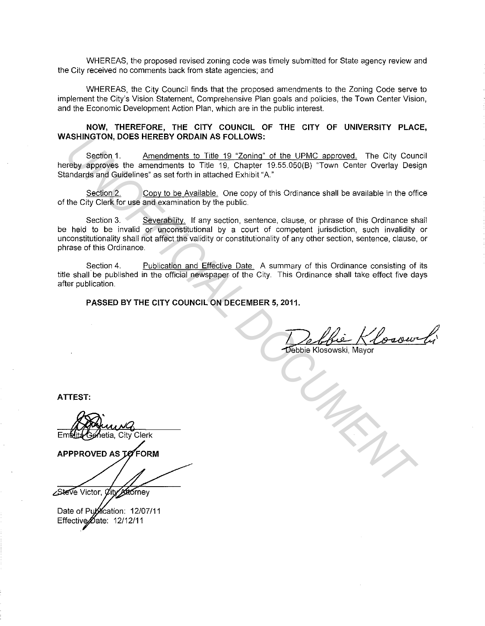WHEREAS, the proposed revised zoning code was timely submitted for State agency review and the City received no comments back from state agencies; and

WHEREAS, the City Council finds that the proposed amendments to the Zoning Code serve to implement the City's Vision Statement, Comprehensive Plan goals and policies, the Town Center Vision, and the Economic Development Action Plan, which are in the public interest.

#### **NOW, THEREFORE, THE CITY COUNCIL OF THE CITY OF UNIVERSITY PLACE, WASHINGTON, DOES HEREBY ORDAIN AS FOLLOWS:**

Section 1. Amendments to Title 19 "Zoning" of the UPMC approved. The City Council hereby approves the amendments to Title 19, Chapter 19.55.050(B) "Town Center Overlay Design Standards and Guidelines" as set forth in attached Exhibit "A."

Section 2. Copy to be Available. One copy of this Ordinance shall be available in the office of the City Clerk for use and examination by the public.

Section 3. Severability. If any section, sentence, clause, or phrase of this Ordinance shall be held to be invalid or unconstitutional by a court of competent jurisdiction, such invalidity or unconstitutionality shall not affect the validity or constitutionality of any other section, sentence, clause, or phrase of this Ordinance. ASHINGTON, JODES HEKEEY ORDAIN AS FOLLOWS:<br>
Seation 1. Amendments to Title 19, Charing of the UPMC approved. The City Courter<br>
Herby approves the amendments to Title 19, Charing of the UPMC approved. The City Courter<br>
Seat

Section 4. Publication and Effective Date. A summary of this Ordinance consisting of its title shall be published in the official newspaper of the City. This Ordinance shall take effect five days after publication.

**PASSED BY THE CITY COUNCIL ON DECEMBER 5, 2011.** 

**ATTEST:** 

Date of Publication: 12/07/11 Effective *Date*: 12/12/11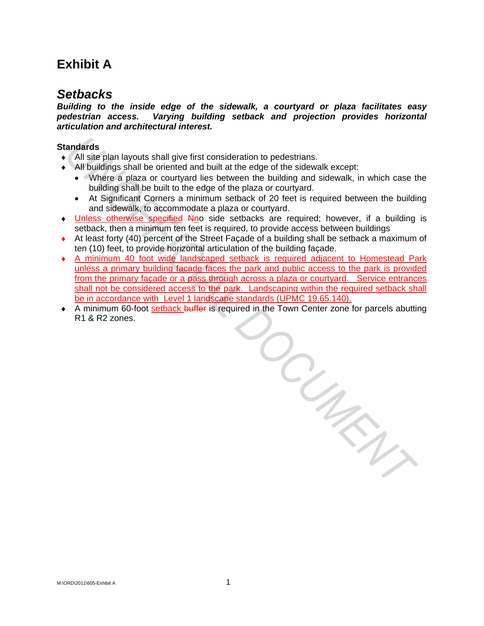# **Exhibit A**

### *Setbacks*

*Building to the inside edge of the sidewalk, a courtyard or plaza facilitates easy pedestrian access. Varying building setback and projection provides horizontal articulation and architectural interest.* 

### **Standards**

- ♦ All site plan layouts shall give first consideration to pedestrians.
- $\bullet$  All buildings shall be oriented and built at the edge of the sidewalk except:
	- Where a plaza or courtyard lies between the building and sidewalk, in which case the building shall be built to the edge of the plaza or courtyard.
	- At Significant Corners a minimum setback of 20 feet is required between the building and sidewalk, to accommodate a plaza or courtyard.
- Unless otherwise specified Nno side setbacks are required; however, if a building is setback, then a minimum ten feet is required, to provide access between buildings
- ♦ At least forty (40) percent of the Street Façade of a building shall be setback a maximum of ten (10) feet, to provide horizontal articulation of the building façade.
- ♦ A minimum 40 foot wide landscaped setback is required adjacent to Homestead Park unless a primary building facade faces the park and public access to the park is provided from the primary façade or a pass through across a plaza or courtyard. Service entrances shall not be considered access to the park. Landscaping within the required setback shall be in accordance with Level 1 landscape standards (UPMC 19.65.140).
- ◆ A minimum 60-foot setback buffer is required in the Town Center zone for parcels abutting R1 & R2 zones. *UNOFFICIAL DOCUMENT*

M:\ORD\2011\605-Exhibit A 1